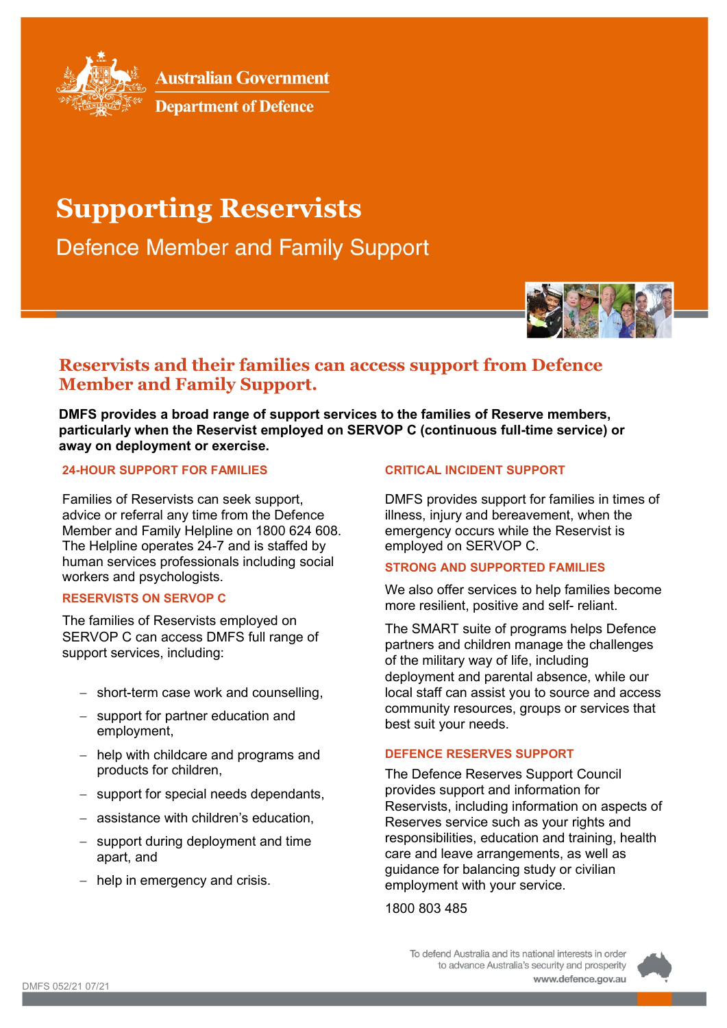

**Australian Government** 



# **Supporting Reservists**

**Defence Member and Family Support** 



# **Reservists and their families can access support from Defence Member and Family Support.**

**DMFS provides a broad range of support services to the families of Reserve members, particularly when the Reservist employed on SERVOP C (continuous full-time service) or away on deployment or exercise.** 

### **24-HOUR SUPPORT FOR FAMILIES**

Families of Reservists can seek support, advice or referral any time from the Defence Member and Family Helpline on 1800 624 608. The Helpline operates 24-7 and is staffed by human services professionals including social workers and psychologists.

## **RESERVISTS ON SERVOP C**

The families of Reservists employed on SERVOP C can access DMFS full range of support services, including:

- − short-term case work and counselling,
- − support for partner education and employment,
- − help with childcare and programs and products for children,
- − support for special needs dependants,
- − assistance with children's education,
- − support during deployment and time apart, and
- − help in emergency and crisis.

### **CRITICAL INCIDENT SUPPORT**

DMFS provides support for families in times of illness, injury and bereavement, when the emergency occurs while the Reservist is employed on SERVOP C.

#### **STRONG AND SUPPORTED FAMILIES**

We also offer services to help families become more resilient, positive and self- reliant.

The SMART suite of programs helps Defence partners and children manage the challenges of the military way of life, including deployment and parental absence, while our local staff can assist you to source and access community resources, groups or services that best suit your needs.

#### **DEFENCE RESERVES SUPPORT**

The Defence Reserves Support Council provides support and information for Reservists, including information on aspects of Reserves service such as your rights and responsibilities, education and training, health care and leave arrangements, as well as guidance for balancing study or civilian employment with your service.

1800 803 485